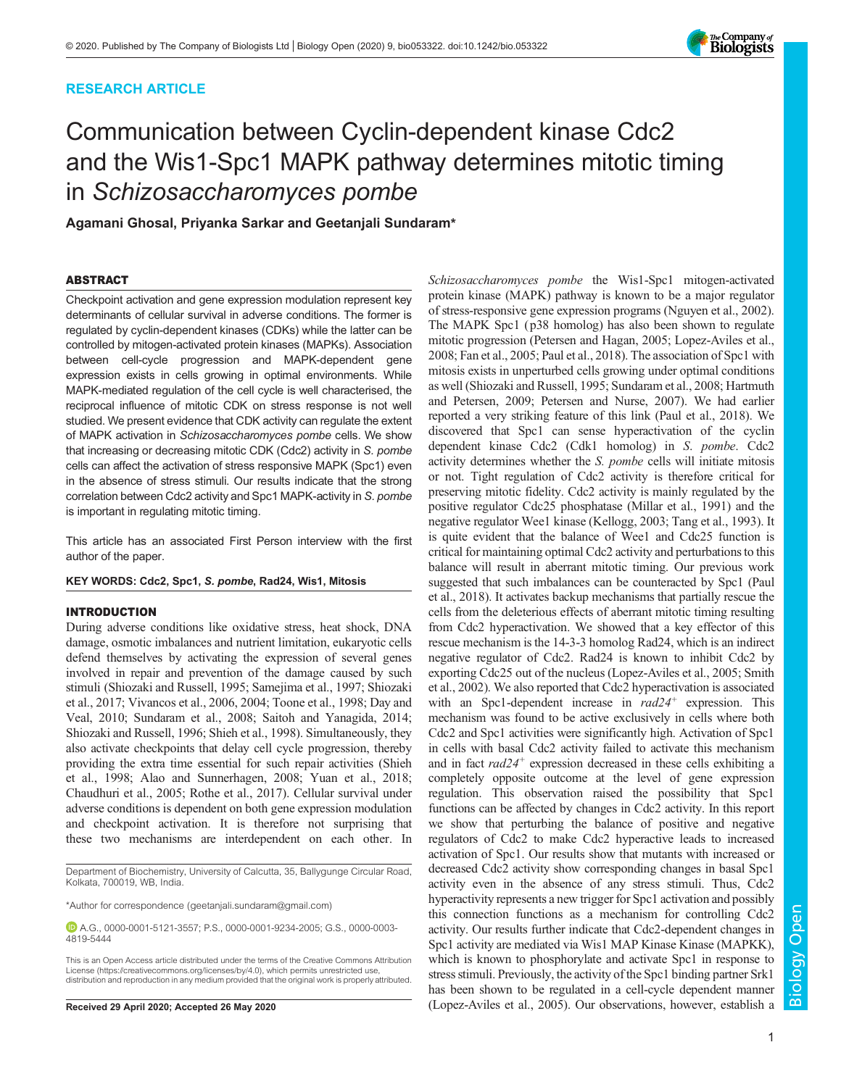# RESEARCH ARTICLE



# Communication between Cyclin-dependent kinase Cdc2 and the Wis1-Spc1 MAPK pathway determines mitotic timing in *Schizosaccharomyces pombe*

Agamani Ghosal, Priyanka Sarkar and Geetanjali Sundaram\*

## ABSTRACT

Checkpoint activation and gene expression modulation represent key determinants of cellular survival in adverse conditions. The former is regulated by cyclin-dependent kinases (CDKs) while the latter can be controlled by mitogen-activated protein kinases (MAPKs). Association between cell-cycle progression and MAPK-dependent gene expression exists in cells growing in optimal environments. While MAPK-mediated regulation of the cell cycle is well characterised, the reciprocal influence of mitotic CDK on stress response is not well studied. We present evidence that CDK activity can regulate the extent of MAPK activation in *Schizosaccharomyces pombe* cells. We show that increasing or decreasing mitotic CDK (Cdc2) activity in *S. pombe* cells can affect the activation of stress responsive MAPK (Spc1) even in the absence of stress stimuli. Our results indicate that the strong correlation between Cdc2 activity and Spc1 MAPK-activity in *S. pombe* is important in regulating mitotic timing.

This article has an associated First Person interview with the first author of the paper.

## KEY WORDS: Cdc2, Spc1, S. pombe, Rad24, Wis1, Mitosis

# INTRODUCTION

During adverse conditions like oxidative stress, heat shock, DNA damage, osmotic imbalances and nutrient limitation, eukaryotic cells defend themselves by activating the expression of several genes involved in repair and prevention of the damage caused by such stimuli (Shiozaki and Russell, 1995; Samejima et al., 1997; Shiozaki et al., 2017; Vivancos et al., 2006, 2004; Toone et al., 1998; Day and Veal, 2010; Sundaram et al., 2008; Saitoh and Yanagida, 2014; Shiozaki and Russell, 1996; Shieh et al., 1998). Simultaneously, they also activate checkpoints that delay cell cycle progression, thereby providing the extra time essential for such repair activities (Shieh et al., 1998; Alao and Sunnerhagen, 2008; Yuan et al., 2018; Chaudhuri et al., 2005; Rothe et al., 2017). Cellular survival under adverse conditions is dependent on both gene expression modulation and checkpoint activation. It is therefore not surprising that these two mechanisms are interdependent on each other. In

Department of Biochemistry, University of Calcutta, 35, Ballygunge Circular Road, Kolkata, 700019, WB, India.

\*Author for correspondence (geetanjali.sundaram@gmail.com)

A.G., 0000-0001-5121-3557; P.S., 0000-0001-9234-2005; G.S., 0000-0003- 4819-5444

This is an Open Access article distributed under the terms of the Creative Commons Attribution License (https://creativecommons.org/licenses/by/4.0), which permits unrestricted use, distribution and reproduction in any medium provided that the original work is properly attributed.

Schizosaccharomyces pombe the Wis1-Spc1 mitogen-activated protein kinase (MAPK) pathway is known to be a major regulator of stress-responsive gene expression programs (Nguyen et al., 2002). The MAPK Spc1 (p38 homolog) has also been shown to regulate mitotic progression (Petersen and Hagan, 2005; Lopez-Aviles et al., 2008; Fan et al., 2005; Paul et al., 2018). The association of Spc1 with mitosis exists in unperturbed cells growing under optimal conditions as well (Shiozaki and Russell, 1995; Sundaram et al., 2008; Hartmuth and Petersen, 2009; Petersen and Nurse, 2007). We had earlier reported a very striking feature of this link (Paul et al., 2018). We discovered that Spc1 can sense hyperactivation of the cyclin dependent kinase Cdc2 (Cdk1 homolog) in S. pombe. Cdc2 activity determines whether the S. pombe cells will initiate mitosis or not. Tight regulation of Cdc2 activity is therefore critical for preserving mitotic fidelity. Cdc2 activity is mainly regulated by the positive regulator Cdc25 phosphatase (Millar et al., 1991) and the negative regulator Wee1 kinase (Kellogg, 2003; Tang et al., 1993). It is quite evident that the balance of Wee1 and Cdc25 function is critical for maintaining optimal Cdc2 activity and perturbations to this balance will result in aberrant mitotic timing. Our previous work suggested that such imbalances can be counteracted by Spc1 (Paul et al., 2018). It activates backup mechanisms that partially rescue the cells from the deleterious effects of aberrant mitotic timing resulting from Cdc2 hyperactivation. We showed that a key effector of this rescue mechanism is the 14-3-3 homolog Rad24, which is an indirect negative regulator of Cdc2. Rad24 is known to inhibit Cdc2 by exporting Cdc25 out of the nucleus (Lopez-Aviles et al., 2005; Smith et al., 2002). We also reported that Cdc2 hyperactivation is associated with an Spc1-dependent increase in rad24<sup>+</sup> expression. This mechanism was found to be active exclusively in cells where both Cdc2 and Spc1 activities were significantly high. Activation of Spc1 in cells with basal Cdc2 activity failed to activate this mechanism and in fact rad24<sup>+</sup> expression decreased in these cells exhibiting a completely opposite outcome at the level of gene expression regulation. This observation raised the possibility that Spc1 functions can be affected by changes in Cdc2 activity. In this report we show that perturbing the balance of positive and negative regulators of Cdc2 to make Cdc2 hyperactive leads to increased activation of Spc1. Our results show that mutants with increased or decreased Cdc2 activity show corresponding changes in basal Spc1 activity even in the absence of any stress stimuli. Thus, Cdc2 hyperactivity represents a new trigger for Spc1 activation and possibly this connection functions as a mechanism for controlling Cdc2 activity. Our results further indicate that Cdc2-dependent changes in Spc1 activity are mediated via Wis1 MAP Kinase Kinase (MAPKK), which is known to phosphorylate and activate Spc1 in response to stress stimuli. Previously, the activity of the Spc1 binding partner Srk1 has been shown to be regulated in a cell-cycle dependent manner Received 29 April 2020; Accepted 26 May 2020 (Lopez-Aviles et al., 2005). Our observations, however, establish a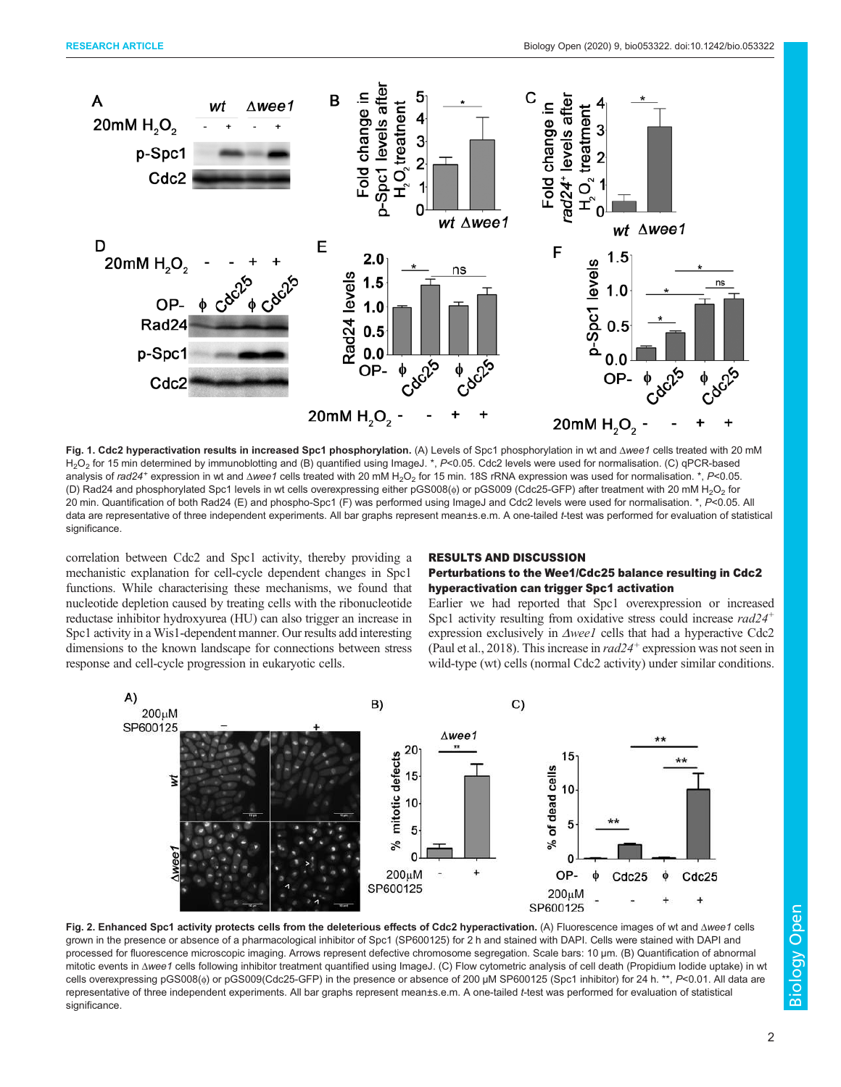

Fig. 1. Cdc2 hyperactivation results in increased Spc1 phosphorylation. (A) Levels of Spc1 phosphorylation in wt and Δ*wee1* cells treated with 20 mM H<sub>2</sub>O<sub>2</sub> for 15 min determined by immunoblotting and (B) quantified using ImageJ. \*, *P*<0.05. Cdc2 levels were used for normalisation. (C) qPCR-based analysis of *rad24*<sup>+</sup> expression in wt and Δwee1 cells treated with 20 mM H<sub>2</sub>O<sub>2</sub> for 15 min. 18S rRNA expression was used for normalisation. \*, *P*<0.05. (D) Rad24 and phosphorylated Spc1 levels in wt cells overexpressing either pGS008(φ) or pGS009 (Cdc25-GFP) after treatment with 20 mM H<sub>2</sub>O<sub>2</sub> for 20 min. Quantification of both Rad24 (E) and phospho-Spc1 (F) was performed using ImageJ and Cdc2 levels were used for normalisation. \*, *P*<0.05. All data are representative of three independent experiments. All bar graphs represent mean±s.e.m. A one-tailed *t*-test was performed for evaluation of statistical significance.

correlation between Cdc2 and Spc1 activity, thereby providing a mechanistic explanation for cell-cycle dependent changes in Spc1 functions. While characterising these mechanisms, we found that nucleotide depletion caused by treating cells with the ribonucleotide reductase inhibitor hydroxyurea (HU) can also trigger an increase in Spc1 activity in a Wis1-dependent manner. Our results add interesting dimensions to the known landscape for connections between stress response and cell-cycle progression in eukaryotic cells.

## RESULTS AND DISCUSSION

## Perturbations to the Wee1/Cdc25 balance resulting in Cdc2 hyperactivation can trigger Spc1 activation

Earlier we had reported that Spc1 overexpression or increased Spc1 activity resulting from oxidative stress could increase  $rad24<sup>+</sup>$ expression exclusively in Δwee1 cells that had a hyperactive Cdc2 (Paul et al., 2018). This increase in  $rad24^+$  expression was not seen in wild-type (wt) cells (normal Cdc2 activity) under similar conditions.



Fig. 2. Enhanced Spc1 activity protects cells from the deleterious effects of Cdc2 hyperactivation. (A) Fluorescence images of wt and Δ*wee1* cells grown in the presence or absence of a pharmacological inhibitor of Spc1 (SP600125) for 2 h and stained with DAPI. Cells were stained with DAPI and processed for fluorescence microscopic imaging. Arrows represent defective chromosome segregation. Scale bars: 10 µm. (B) Quantification of abnormal mitotic events in Δ*wee1* cells following inhibitor treatment quantified using ImageJ. (C) Flow cytometric analysis of cell death (Propidium Iodide uptake) in wt cells overexpressing pGS008(φ) or pGS009(Cdc25-GFP) in the presence or absence of 200 μM SP600125 (Spc1 inhibitor) for 24 h. \*\*, P<0.01. All data are representative of three independent experiments. All bar graphs represent mean±s.e.m. A one-tailed *t*-test was performed for evaluation of statistical significance.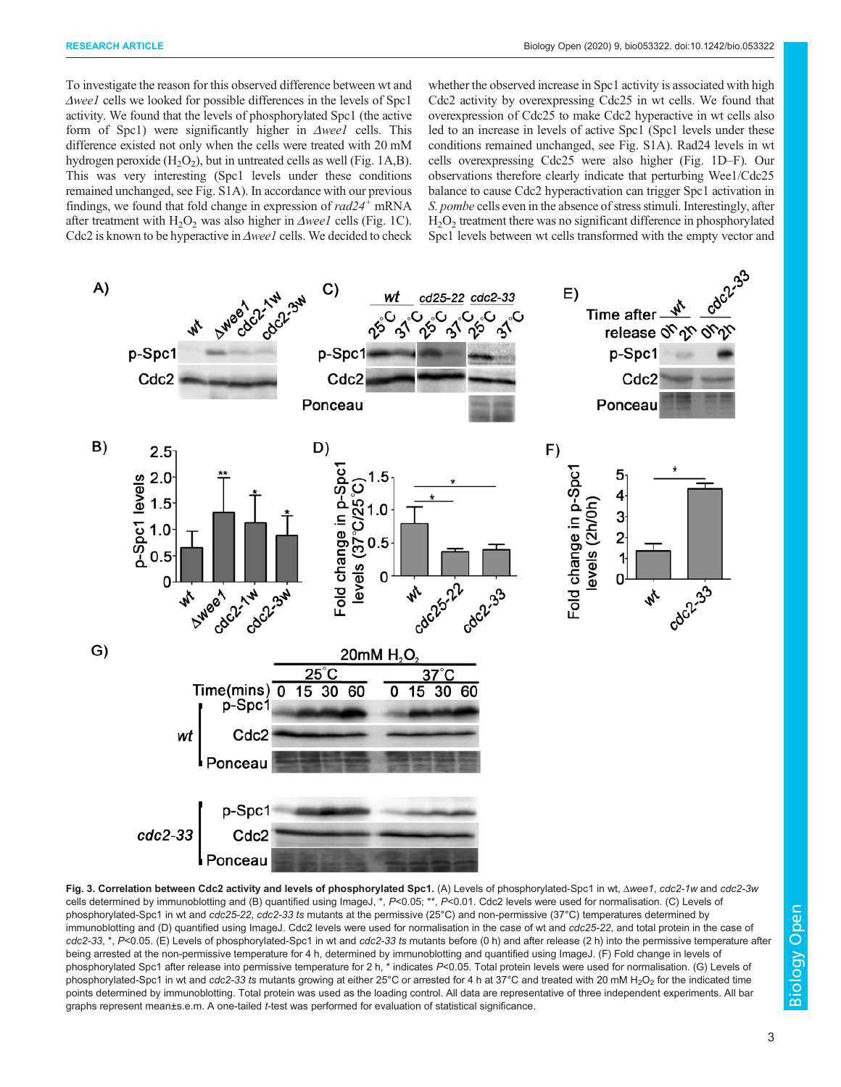To investigate the reason for this observed difference between wt and Δwee1 cells we looked for possible differences in the levels of Spc1 activity. We found that the levels of phosphorylated Spc1 (the active form of Spc1) were significantly higher in Δwee1 cells. This difference existed not only when the cells were treated with 20 mM hydrogen peroxide  $(H_2O_2)$ , but in untreated cells as well (Fig. 1A,B). This was very interesting (Spc1 levels under these conditions remained unchanged, see Fig. S1A). In accordance with our previous findings, we found that fold change in expression of  $rad24<sup>+</sup>$  mRNA after treatment with  $H_2O_2$  was also higher in  $\Delta$ weel cells (Fig. 1C). Cdc2 is known to be hyperactive in Δwee1 cells. We decided to check whether the observed increase in Spc1 activity is associated with high Cdc2 activity by overexpressing Cdc25 in wt cells. We found that overexpression of Cdc25 to make Cdc2 hyperactive in wt cells also led to an increase in levels of active Spc1 (Spc1 levels under these conditions remained unchanged, see Fig. S1A). Rad24 levels in wt cells overexpressing Cdc25 were also higher (Fig. 1D–F). Our observations therefore clearly indicate that perturbing Wee1/Cdc25 balance to cause Cdc2 hyperactivation can trigger Spc1 activation in S. *pombe* cells even in the absence of stress stimuli. Interestingly, after  $H<sub>2</sub>O<sub>2</sub>$  treatment there was no significant difference in phosphorylated Spc1 levels between wt cells transformed with the empty vector and



Fig. 3. Correlation between Cdc2 activity and levels of phosphorylated Spc1. (A) Levels of phosphorylated-Spc1 in wt, Δ*wee1*, *cdc2-1w* and *cdc2-3w* cells determined by immunoblotting and (B) quantified using ImageJ, \*, *P*<0.05; \*\*, *P*<0.01. Cdc2 levels were used for normalisation. (C) Levels of phosphorylated-Spc1 in wt and *cdc25-22*, *cdc2-33 ts* mutants at the permissive (25°C) and non-permissive (37°C) temperatures determined by immunoblotting and (D) quantified using ImageJ. Cdc2 levels were used for normalisation in the case of wt and *cdc25-22*, and total protein in the case of *cdc2-33*, \*, *P*<0.05. (E) Levels of phosphorylated-Spc1 in wt and *cdc2-33 ts* mutants before (0 h) and after release (2 h) into the permissive temperature after being arrested at the non-permissive temperature for 4 h, determined by immunoblotting and quantified using ImageJ. (F) Fold change in levels of phosphorylated Spc1 after release into permissive temperature for 2 h, \* indicates P<0.05. Total protein levels were used for normalisation. (G) Levels of phosphorylated-Spc1 in wt and *cdc2-33 ts* mutants growing at either 25°C or arrested for 4 h at 37°C and treated with 20 mM H<sub>2</sub>O<sub>2</sub> for the indicated time points determined by immunoblotting. Total protein was used as the loading control. All data are representative of three independent experiments. All bar graphs represent mean±s.e.m. A one-tailed *t*-test was performed for evaluation of statistical significance.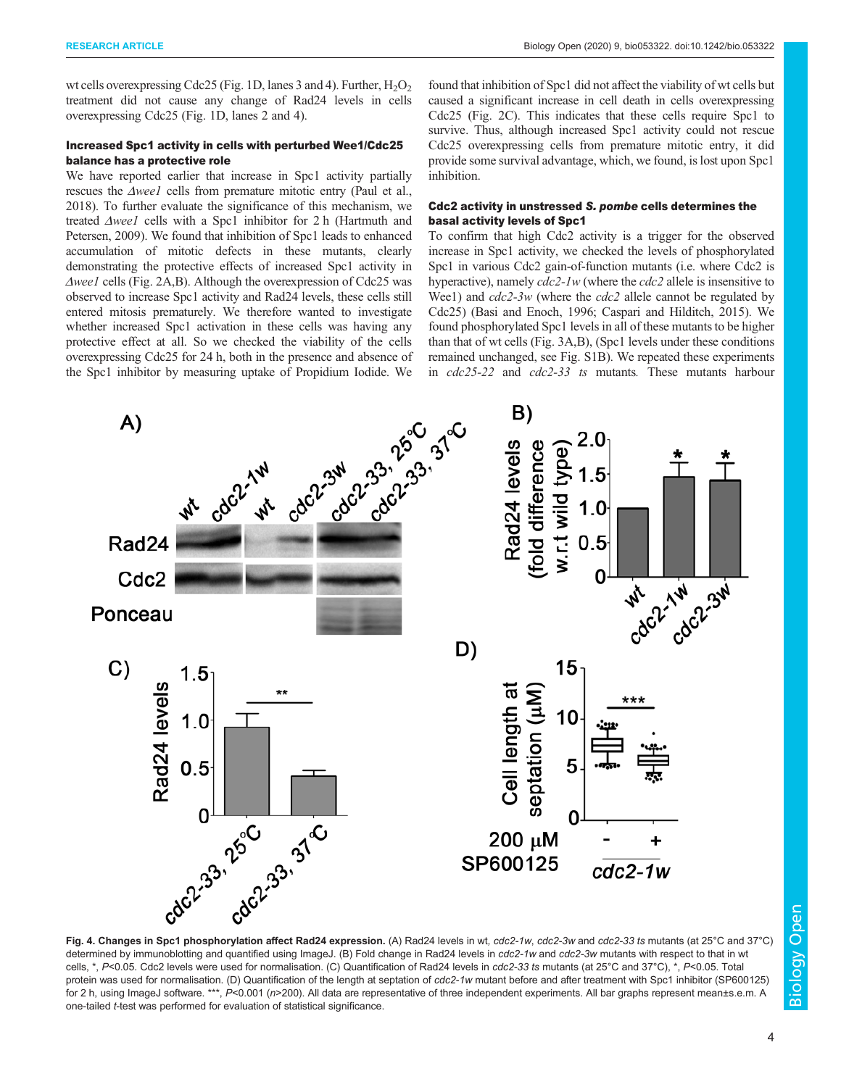wt cells overexpressing Cdc25 (Fig. 1D, lanes 3 and 4). Further,  $H_2O_2$ treatment did not cause any change of Rad24 levels in cells overexpressing Cdc25 (Fig. 1D, lanes 2 and 4).

## Increased Spc1 activity in cells with perturbed Wee1/Cdc25 balance has a protective role

We have reported earlier that increase in Spc1 activity partially rescues the Δwee1 cells from premature mitotic entry (Paul et al., 2018). To further evaluate the significance of this mechanism, we treated Δweel cells with a Spc1 inhibitor for 2 h (Hartmuth and Petersen, 2009). We found that inhibition of Spc1 leads to enhanced accumulation of mitotic defects in these mutants, clearly demonstrating the protective effects of increased Spc1 activity in Δwee1 cells (Fig. 2A,B). Although the overexpression of Cdc25 was observed to increase Spc1 activity and Rad24 levels, these cells still entered mitosis prematurely. We therefore wanted to investigate whether increased Spc1 activation in these cells was having any protective effect at all. So we checked the viability of the cells overexpressing Cdc25 for 24 h, both in the presence and absence of the Spc1 inhibitor by measuring uptake of Propidium Iodide. We

found that inhibition of Spc1 did not affect the viability of wt cells but caused a significant increase in cell death in cells overexpressing Cdc25 (Fig. 2C). This indicates that these cells require Spc1 to survive. Thus, although increased Spc1 activity could not rescue Cdc25 overexpressing cells from premature mitotic entry, it did provide some survival advantage, which, we found, is lost upon Spc1 inhibition.

## Cdc2 activity in unstressed S. pombe cells determines the basal activity levels of Spc1

To confirm that high Cdc2 activity is a trigger for the observed increase in Spc1 activity, we checked the levels of phosphorylated Spc1 in various Cdc2 gain-of-function mutants (i.e. where Cdc2 is hyperactive), namely  $cdc^2$ -1w (where the  $cdc^2$  allele is insensitive to Wee1) and  $cdc2-3w$  (where the  $cdc2$  allele cannot be regulated by Cdc25) (Basi and Enoch, 1996; Caspari and Hilditch, 2015). We found phosphorylated Spc1 levels in all of these mutants to be higher than that of wt cells (Fig. 3A,B), (Spc1 levels under these conditions remained unchanged, see Fig. S1B). We repeated these experiments in cdc25-22 and cdc2-33 ts mutants. These mutants harbour



determined by immunoblotting and quantified using ImageJ. (B) Fold change in Rad24 levels in *cdc2-1w* and *cdc2-3w* mutants with respect to that in wt cells, \*, *P*<0.05. Cdc2 levels were used for normalisation. (C) Quantification of Rad24 levels in *cdc2-33 ts* mutants (at 25°C and 37°C), \*, *P*<0.05. Total protein was used for normalisation. (D) Quantification of the length at septation of *cdc2-1w* mutant before and after treatment with Spc1 inhibitor (SP600125) for 2 h, using ImageJ software. \*\*\*, P<0.001 ( $n$ >200). All data are representative of three independent experiments. All bar graphs represent mean±s.e.m. A one-tailed *t*-test was performed for evaluation of statistical significance.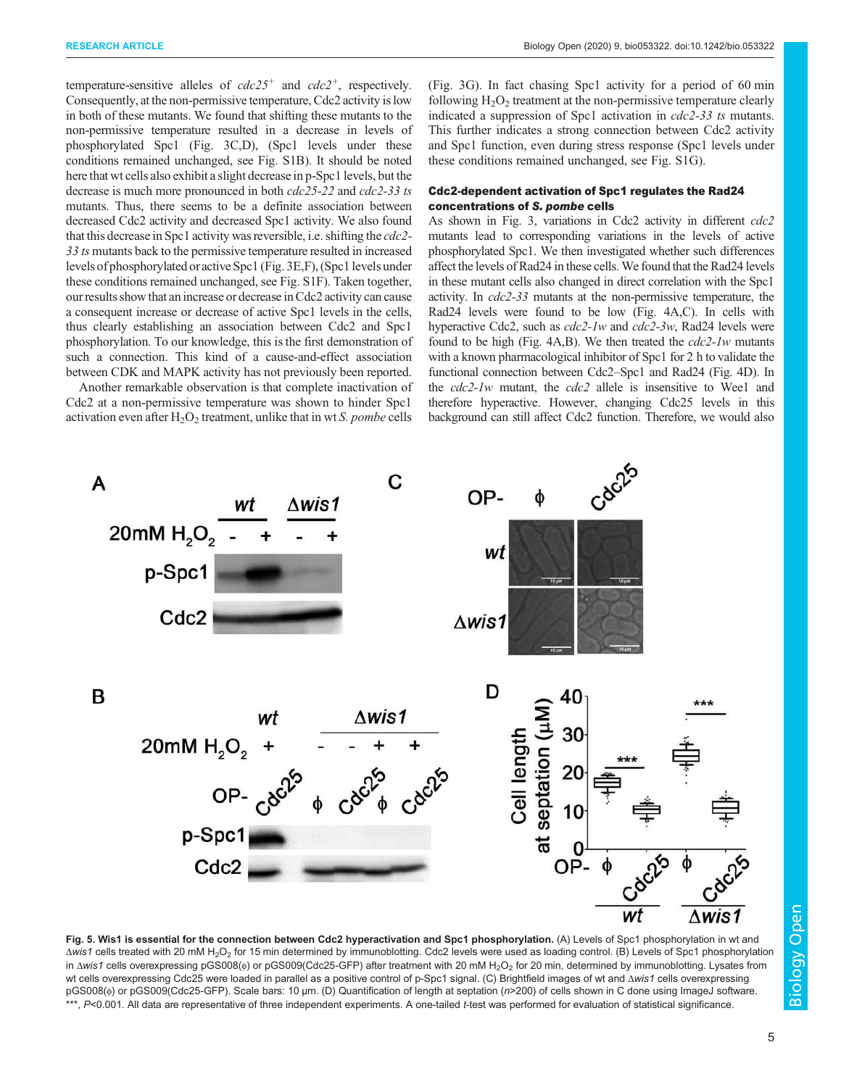temperature-sensitive alleles of  $cdc25$ <sup>+</sup> and  $cdc2$ <sup>+</sup>, respectively. Consequently, at the non-permissive temperature, Cdc2 activity is low in both of these mutants. We found that shifting these mutants to the non-permissive temperature resulted in a decrease in levels of phosphorylated Spc1 (Fig. 3C,D), (Spc1 levels under these conditions remained unchanged, see Fig. S1B). It should be noted here that wt cells also exhibit a slight decrease in p-Spc1 levels, but the decrease is much more pronounced in both cdc25-22 and cdc2-33 ts mutants. Thus, there seems to be a definite association between decreased Cdc2 activity and decreased Spc1 activity. We also found that this decrease in Spc1 activity was reversible, i.e. shifting the cdc2- 33 ts mutants back to the permissive temperature resulted in increased levels of phosphorylated or active Spc1 (Fig. 3E,F), (Spc1 levels under these conditions remained unchanged, see Fig. S1F). Taken together, our results show that an increase or decrease in Cdc2 activity can cause a consequent increase or decrease of active Spc1 levels in the cells, thus clearly establishing an association between Cdc2 and Spc1 phosphorylation. To our knowledge, this is the first demonstration of such a connection. This kind of a cause-and-effect association between CDK and MAPK activity has not previously been reported.

Another remarkable observation is that complete inactivation of Cdc2 at a non-permissive temperature was shown to hinder Spc1 activation even after  $H_2O_2$  treatment, unlike that in wt S. pombe cells

(Fig. 3G). In fact chasing Spc1 activity for a period of 60 min following  $H_2O_2$  treatment at the non-permissive temperature clearly indicated a suppression of Spc1 activation in cdc2-33 ts mutants. This further indicates a strong connection between Cdc2 activity and Spc1 function, even during stress response (Spc1 levels under these conditions remained unchanged, see Fig. S1G).

## Cdc2-dependent activation of Spc1 regulates the Rad24 concentrations of S. pombe cells

As shown in Fig. 3, variations in Cdc2 activity in different cdc2 mutants lead to corresponding variations in the levels of active phosphorylated Spc1. We then investigated whether such differences affect the levels of Rad24 in these cells. We found that the Rad24 levels in these mutant cells also changed in direct correlation with the Spc1 activity. In cdc2-33 mutants at the non-permissive temperature, the Rad24 levels were found to be low (Fig. 4A,C). In cells with hyperactive Cdc2, such as cdc2-1w and cdc2-3w, Rad24 levels were found to be high (Fig.  $4A,B$ ). We then treated the  $cdc2-1w$  mutants with a known pharmacological inhibitor of Spc1 for 2 h to validate the functional connection between Cdc2–Spc1 and Rad24 (Fig. 4D). In the *cdc2-1w* mutant, the *cdc2* allele is insensitive to Wee1 and therefore hyperactive. However, changing Cdc25 levels in this background can still affect Cdc2 function. Therefore, we would also



Fig. 5. Wis1 is essential for the connection between Cdc2 hyperactivation and Spc1 phosphorylation. (A) Levels of Spc1 phosphorylation in wt and Δ*wis1* cells treated with 20 mM H2O<sup>2</sup> for 15 min determined by immunoblotting. Cdc2 levels were used as loading control. (B) Levels of Spc1 phosphorylation in Δwis1 cells overexpressing pGS008(φ) or pGS009(Cdc25-GFP) after treatment with 20 mM H<sub>2</sub>O<sub>2</sub> for 20 min, determined by immunoblotting. Lysates from wt cells overexpressing Cdc25 were loaded in parallel as a positive control of p-Spc1 signal. (C) Brightfield images of wt and Δ*wis1* cells overexpressing pGS008(φ) or pGS009(Cdc25-GFP). Scale bars: 10 µm. (D) Quantification of length at septation (*n*>200) of cells shown in C done using ImageJ software. \*\*\*, *P*<0.001. All data are representative of three independent experiments. A one-tailed t-test was performed for evaluation of statistical significance.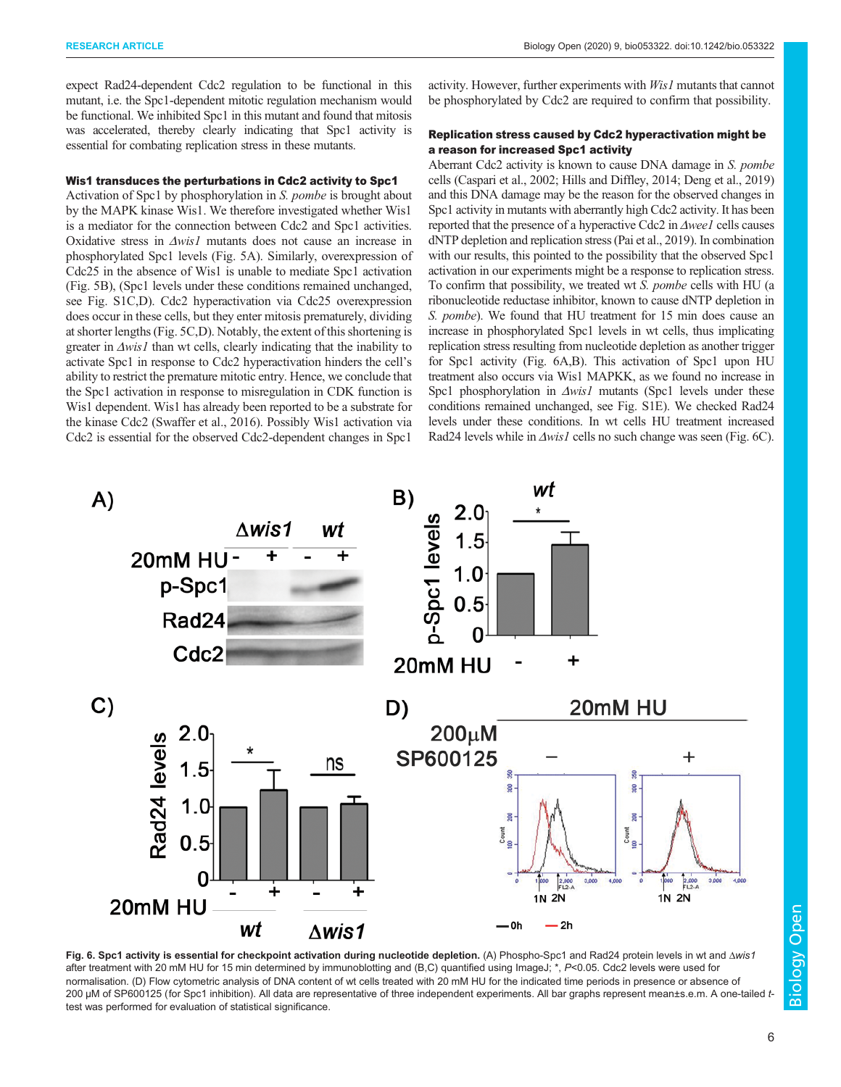expect Rad24-dependent Cdc2 regulation to be functional in this mutant, i.e. the Spc1-dependent mitotic regulation mechanism would be functional. We inhibited Spc1 in this mutant and found that mitosis was accelerated, thereby clearly indicating that Spc1 activity is essential for combating replication stress in these mutants.

## Wis1 transduces the perturbations in Cdc2 activity to Spc1

Activation of Spc1 by phosphorylation in S. pombe is brought about by the MAPK kinase Wis1. We therefore investigated whether Wis1 is a mediator for the connection between Cdc2 and Spc1 activities. Oxidative stress in Δwis1 mutants does not cause an increase in phosphorylated Spc1 levels (Fig. 5A). Similarly, overexpression of Cdc25 in the absence of Wis1 is unable to mediate Spc1 activation (Fig. 5B), (Spc1 levels under these conditions remained unchanged, see Fig. S1C,D). Cdc2 hyperactivation via Cdc25 overexpression does occur in these cells, but they enter mitosis prematurely, dividing at shorter lengths (Fig. 5C,D). Notably, the extent of this shortening is greater in  $\Delta w$ is1 than wt cells, clearly indicating that the inability to activate Spc1 in response to Cdc2 hyperactivation hinders the cell's ability to restrict the premature mitotic entry. Hence, we conclude that the Spc1 activation in response to misregulation in CDK function is Wis1 dependent. Wis1 has already been reported to be a substrate for the kinase Cdc2 (Swaffer et al., 2016). Possibly Wis1 activation via Cdc2 is essential for the observed Cdc2-dependent changes in Spc1

activity. However, further experiments with Wis1 mutants that cannot be phosphorylated by Cdc2 are required to confirm that possibility.

# Replication stress caused by Cdc2 hyperactivation might be a reason for increased Spc1 activity

Aberrant Cdc2 activity is known to cause DNA damage in S. pombe cells (Caspari et al., 2002; Hills and Diffley, 2014; Deng et al., 2019) and this DNA damage may be the reason for the observed changes in Spc1 activity in mutants with aberrantly high Cdc2 activity. It has been reported that the presence of a hyperactive Cdc2 in Δwee1 cells causes dNTP depletion and replication stress (Pai et al., 2019). In combination with our results, this pointed to the possibility that the observed Spc1 activation in our experiments might be a response to replication stress. To confirm that possibility, we treated wt S. pombe cells with HU (a ribonucleotide reductase inhibitor, known to cause dNTP depletion in S. pombe). We found that HU treatment for 15 min does cause an increase in phosphorylated Spc1 levels in wt cells, thus implicating replication stress resulting from nucleotide depletion as another trigger for Spc1 activity (Fig. 6A,B). This activation of Spc1 upon HU treatment also occurs via Wis1 MAPKK, as we found no increase in Spc1 phosphorylation in Δwis1 mutants (Spc1 levels under these conditions remained unchanged, see Fig. S1E). We checked Rad24 levels under these conditions. In wt cells HU treatment increased Rad24 levels while in Δwis1 cells no such change was seen (Fig. 6C).



Fig. 6. Spc1 activity is essential for checkpoint activation during nucleotide depletion. (A) Phospho-Spc1 and Rad24 protein levels in wt and Δ*wis1* after treatment with 20 mM HU for 15 min determined by immunoblotting and (B,C) quantified using ImageJ; \*, *P<0.05*. Cdc2 levels were used for normalisation. (D) Flow cytometric analysis of DNA content of wt cells treated with 20 mM HU for the indicated time periods in presence or absence of 200 µM of SP600125 (for Spc1 inhibition). All data are representative of three independent experiments. All bar graphs represent mean±s.e.m. A one-tailed *t*test was performed for evaluation of statistical significance.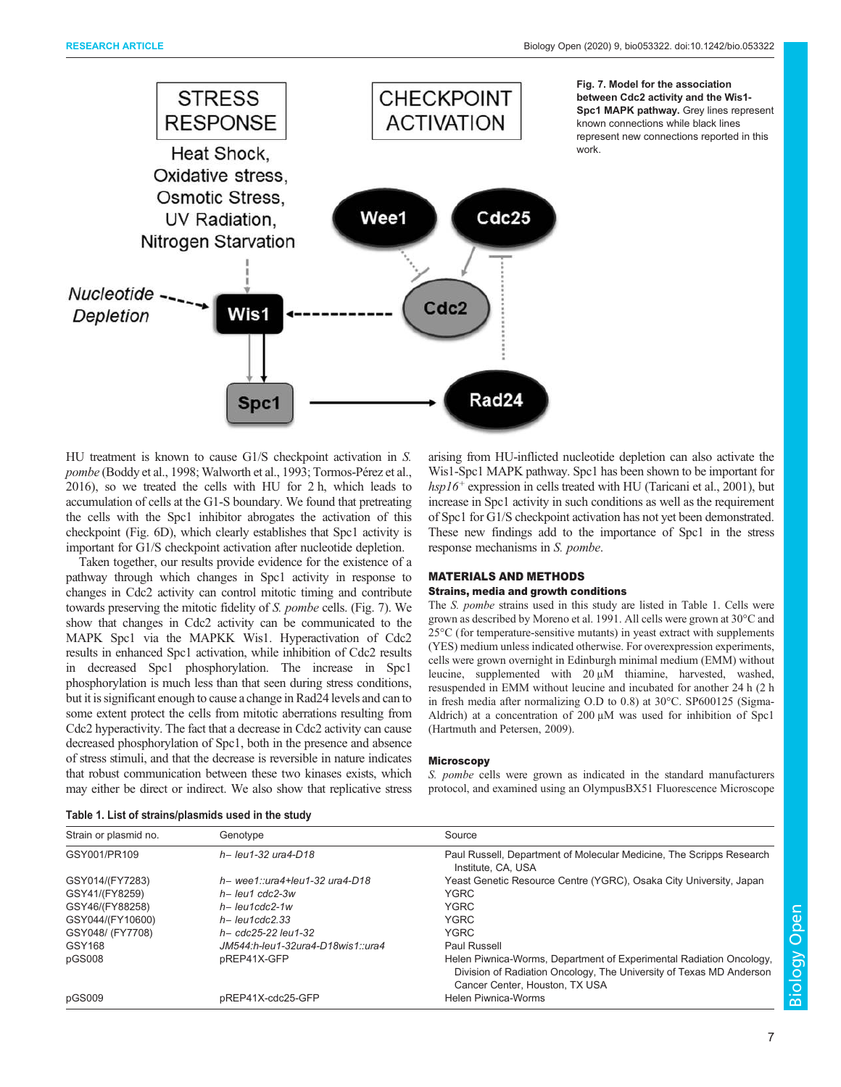

HU treatment is known to cause G1/S checkpoint activation in S. pombe (Boddy et al., 1998; Walworth et al., 1993; Tormos-Pérez et al., 2016), so we treated the cells with HU for 2 h, which leads to accumulation of cells at the G1-S boundary. We found that pretreating the cells with the Spc1 inhibitor abrogates the activation of this checkpoint (Fig. 6D), which clearly establishes that Spc1 activity is important for G1/S checkpoint activation after nucleotide depletion.

Taken together, our results provide evidence for the existence of a pathway through which changes in Spc1 activity in response to changes in Cdc2 activity can control mitotic timing and contribute towards preserving the mitotic fidelity of S. pombe cells. (Fig. 7). We show that changes in Cdc2 activity can be communicated to the MAPK Spc1 via the MAPKK Wis1. Hyperactivation of Cdc2 results in enhanced Spc1 activation, while inhibition of Cdc2 results in decreased Spc1 phosphorylation. The increase in Spc1 phosphorylation is much less than that seen during stress conditions, but it is significant enough to cause a change in Rad24 levels and can to some extent protect the cells from mitotic aberrations resulting from Cdc2 hyperactivity. The fact that a decrease in Cdc2 activity can cause decreased phosphorylation of Spc1, both in the presence and absence of stress stimuli, and that the decrease is reversible in nature indicates that robust communication between these two kinases exists, which may either be direct or indirect. We also show that replicative stress

| arising from HU-inflicted nucleotide depletion can also activate the       |  |  |  |
|----------------------------------------------------------------------------|--|--|--|
| Wis1-Spc1 MAPK pathway. Spc1 has been shown to be important for            |  |  |  |
| $hsp16^+$ expression in cells treated with HU (Taricani et al., 2001), but |  |  |  |
| increase in Spc1 activity in such conditions as well as the requirement    |  |  |  |
| of Spc1 for G1/S checkpoint activation has not yet been demonstrated.      |  |  |  |
| These new findings add to the importance of Spc1 in the stress             |  |  |  |
| response mechanisms in S. pombe.                                           |  |  |  |

# MATERIALS AND METHODS Strains, media and growth conditions

The S. pombe strains used in this study are listed in Table 1. Cells were grown as described by Moreno et al. 1991. All cells were grown at 30°C and 25°C (for temperature-sensitive mutants) in yeast extract with supplements (YES) medium unless indicated otherwise. For overexpression experiments, cells were grown overnight in Edinburgh minimal medium (EMM) without leucine, supplemented with 20 μM thiamine, harvested, washed, resuspended in EMM without leucine and incubated for another 24 h (2 h in fresh media after normalizing O.D to 0.8) at 30°C. SP600125 (Sigma-Aldrich) at a concentration of 200 μM was used for inhibition of Spc1 (Hartmuth and Petersen, 2009).

## **Microscopy**

S. pombe cells were grown as indicated in the standard manufacturers protocol, and examined using an OlympusBX51 Fluorescence Microscope

| Strain or plasmid no. | Genotype                          | Source                                                                                                                                                                       |
|-----------------------|-----------------------------------|------------------------------------------------------------------------------------------------------------------------------------------------------------------------------|
| GSY001/PR109          | $h - leu1-32 ura4-D18$            | Paul Russell, Department of Molecular Medicine, The Scripps Research<br>Institute, CA, USA                                                                                   |
| GSY014/(FY7283)       | $h$ - wee1::ura4+leu1-32 ura4-D18 | Yeast Genetic Resource Centre (YGRC), Osaka City University, Japan                                                                                                           |
| GSY41/(FY8259)        | $h$ – leu1 cdc2-3w                | <b>YGRC</b>                                                                                                                                                                  |
| GSY46/(FY88258)       | $h$ - leu1cdc2-1w                 | <b>YGRC</b>                                                                                                                                                                  |
| GSY044/(FY10600)      | $h$ – leu1cdc2.33                 | <b>YGRC</b>                                                                                                                                                                  |
| GSY048/ (FY7708)      | $h - cdc25-22$ leu1-32            | <b>YGRC</b>                                                                                                                                                                  |
| GSY168                | JM544 h-leu1-32ura4-D18wis1 ura4  | Paul Russell                                                                                                                                                                 |
| pGS008                | pREP41X-GFP                       | Helen Piwnica-Worms, Department of Experimental Radiation Oncology,<br>Division of Radiation Oncology, The University of Texas MD Anderson<br>Cancer Center, Houston, TX USA |
| pGS009                | pREP41X-cdc25-GFP                 | Helen Piwnica-Worms                                                                                                                                                          |

## Table 1. List of strains/plasmids used in the study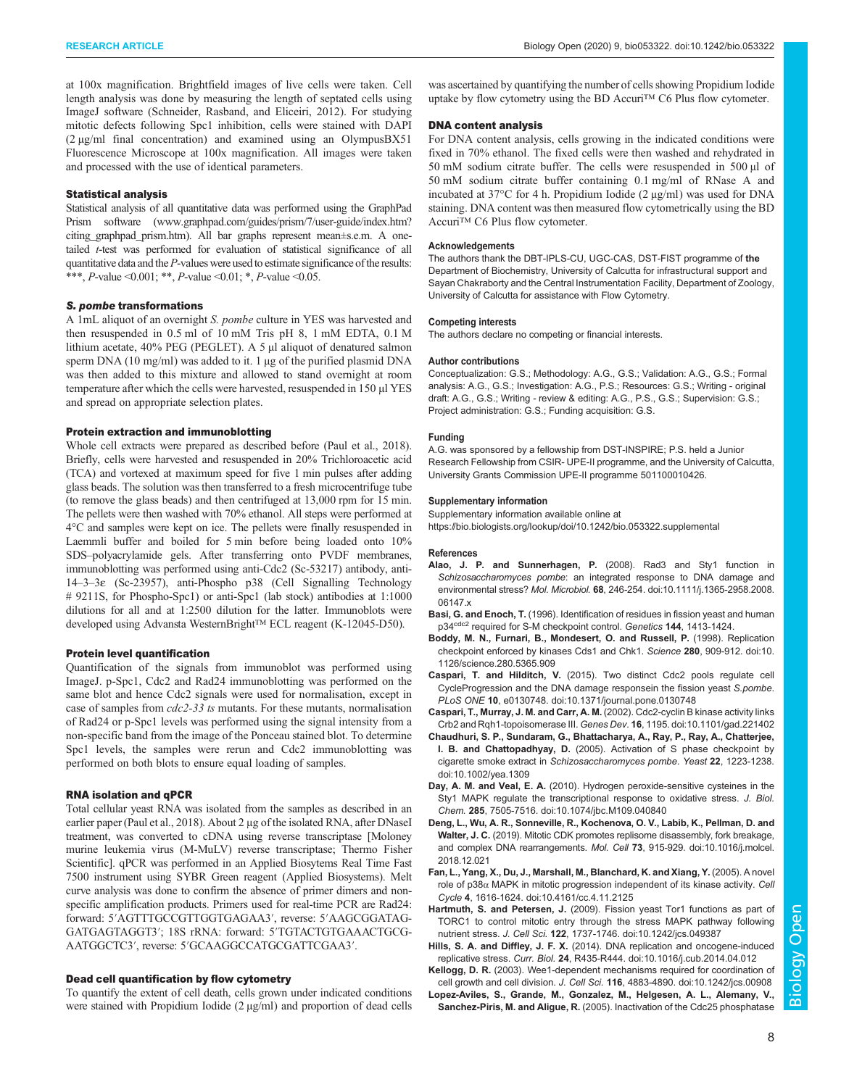at 100x magnification. Brightfield images of live cells were taken. Cell length analysis was done by measuring the length of septated cells using ImageJ software (Schneider, Rasband, and Eliceiri, 2012). For studying mitotic defects following Spc1 inhibition, cells were stained with DAPI (2 µg/ml final concentration) and examined using an OlympusBX51 Fluorescence Microscope at 100x magnification. All images were taken and processed with the use of identical parameters.

#### Statistical analysis

Statistical analysis of all quantitative data was performed using the GraphPad Prism software (www.graphpad.com/guides/prism/7/user-guide/index.htm? citing\_graphpad\_prism.htm). All bar graphs represent mean±s.e.m. A onetailed t-test was performed for evaluation of statistical significance of all quantitative data and the  $P$ -values were used to estimate significance of the results: \*\*\*, P-value <0.001; \*\*, P-value <0.01; \*, P-value <0.05.

#### S. pombe transformations

A 1mL aliquot of an overnight S. pombe culture in YES was harvested and then resuspended in 0.5 ml of 10 mM Tris pH 8, 1 mM EDTA, 0.1 M lithium acetate, 40% PEG (PEGLET). A 5 μl aliquot of denatured salmon sperm DNA (10 mg/ml) was added to it. 1 µg of the purified plasmid DNA was then added to this mixture and allowed to stand overnight at room temperature after which the cells were harvested, resuspended in 150 µl YES and spread on appropriate selection plates.

## Protein extraction and immunoblotting

Whole cell extracts were prepared as described before (Paul et al., 2018). Briefly, cells were harvested and resuspended in 20% Trichloroacetic acid (TCA) and vortexed at maximum speed for five 1 min pulses after adding glass beads. The solution was then transferred to a fresh microcentrifuge tube (to remove the glass beads) and then centrifuged at 13,000 rpm for 15 min. The pellets were then washed with 70% ethanol. All steps were performed at 4°C and samples were kept on ice. The pellets were finally resuspended in Laemmli buffer and boiled for 5 min before being loaded onto 10% SDS–polyacrylamide gels. After transferring onto PVDF membranes, immunoblotting was performed using anti-Cdc2 (Sc-53217) antibody, anti-14–3–3ε (Sc-23957), anti-Phospho p38 (Cell Signalling Technology # 9211S, for Phospho-Spc1) or anti-Spc1 (lab stock) antibodies at 1:1000 dilutions for all and at 1:2500 dilution for the latter. Immunoblots were developed using Advansta WesternBright™ ECL reagent (K-12045-D50).

#### Protein level quantification

Quantification of the signals from immunoblot was performed using ImageJ. p-Spc1, Cdc2 and Rad24 immunoblotting was performed on the same blot and hence Cdc2 signals were used for normalisation, except in case of samples from *cdc2-33 ts* mutants. For these mutants, normalisation of Rad24 or p-Spc1 levels was performed using the signal intensity from a non-specific band from the image of the Ponceau stained blot. To determine Spc1 levels, the samples were rerun and Cdc2 immunoblotting was performed on both blots to ensure equal loading of samples.

#### RNA isolation and qPCR

Total cellular yeast RNA was isolated from the samples as described in an earlier paper (Paul et al., 2018). About 2 μg of the isolated RNA, after DNaseI treatment, was converted to cDNA using reverse transcriptase [Moloney murine leukemia virus (M-MuLV) reverse transcriptase; Thermo Fisher Scientific]. qPCR was performed in an Applied Biosytems Real Time Fast 7500 instrument using SYBR Green reagent (Applied Biosystems). Melt curve analysis was done to confirm the absence of primer dimers and nonspecific amplification products. Primers used for real-time PCR are Rad24: forward: 5′AGTTTGCCGTTGGTGAGAA3′, reverse: 5′AAGCGGATAG-GATGAGTAGGT3′; 18S rRNA: forward: 5′TGTACTGTGAAACTGCG-AATGGCTC3′, reverse: 5′GCAAGGCCATGCGATTCGAA3′.

## Dead cell quantification by flow cytometry

To quantify the extent of cell death, cells grown under indicated conditions were stained with Propidium Iodide (2 µg/ml) and proportion of dead cells

was ascertained by quantifying the number of cells showing Propidium Iodide uptake by flow cytometry using the BD Accuri™ C6 Plus flow cytometer.

## DNA content analysis

For DNA content analysis, cells growing in the indicated conditions were fixed in 70% ethanol. The fixed cells were then washed and rehydrated in 50 mM sodium citrate buffer. The cells were resuspended in 500 μl of 50 mM sodium citrate buffer containing 0.1 mg/ml of RNase A and incubated at 37°C for 4 h. Propidium Iodide (2 μg/ml) was used for DNA staining. DNA content was then measured flow cytometrically using the BD Accuri<sup>™</sup> C6 Plus flow cytometer.

#### Acknowledgements

The authors thank the DBT-IPLS-CU, UGC-CAS, DST-FIST programme of the Department of Biochemistry, University of Calcutta for infrastructural support and Sayan Chakraborty and the Central Instrumentation Facility, Department of Zoology, University of Calcutta for assistance with Flow Cytometry.

#### Competing interests

The authors declare no competing or financial interests.

#### Author contributions

Conceptualization: G.S.; Methodology: A.G., G.S.; Validation: A.G., G.S.; Formal analysis: A.G., G.S.; Investigation: A.G., P.S.; Resources: G.S.; Writing - original draft: A.G., G.S.; Writing - review & editing: A.G., P.S., G.S.; Supervision: G.S.; Project administration: G.S.; Funding acquisition: G.S.

#### Funding

A.G. was sponsored by a fellowship from DST-INSPIRE; P.S. held a Junior Research Fellowship from CSIR- UPE-II programme, and the University of Calcutta, University Grants Commission UPE-II programme 501100010426.

#### Supplementary information

Supplementary information available online at

https://bio.biologists.org/lookup/doi/10.1242/bio.053322.supplemental

#### References

- Alao, J. P. and Sunnerhagen, P. (2008). Rad3 and Sty1 function in *Schizosaccharomyces pombe*: an integrated response to DNA damage and environmental stress? *Mol. Microbiol.* 68, 246-254. doi:10.1111/j.1365-2958.2008. 06147.x
- Basi, G. and Enoch, T. (1996). Identification of residues in fission yeast and human p34<sup>cdc2</sup> required for S-M checkpoint control. Genetics 144, 1413-1424.
- Boddy, M. N., Furnari, B., Mondesert, O. and Russell, P. (1998). Replication checkpoint enforced by kinases Cds1 and Chk1. *Science* 280, 909-912. doi:10. 1126/science.280.5365.909
- Caspari, T. and Hilditch, V. (2015). Two distinct Cdc2 pools regulate cell CycleProgression and the DNA damage responsein the fission yeast *S.pombe*. *PLoS ONE* 10, e0130748. doi:10.1371/journal.pone.0130748
- Caspari, T., Murray, J. M. and Carr, A. M. (2002). Cdc2-cyclin B kinase activity links Crb2 and Rqh1-topoisomerase III. *Genes Dev.* 16, 1195. doi:10.1101/gad.221402
- Chaudhuri, S. P., Sundaram, G., Bhattacharya, A., Ray, P., Ray, A., Chatterjee, I. B. and Chattopadhyay, D. (2005). Activation of S phase checkpoint by cigarette smoke extract in *Schizosaccharomyces pombe*. *Yeast* 22, 1223-1238. doi:10.1002/yea.1309
- Day, A. M. and Veal, E. A. (2010). Hydrogen peroxide-sensitive cysteines in the Sty1 MAPK regulate the transcriptional response to oxidative stress. *J. Biol. Chem.* 285, 7505-7516. doi:10.1074/jbc.M109.040840
- Deng, L., Wu, A. R., Sonneville, R., Kochenova, O. V., Labib, K., Pellman, D. and Walter, J. C. (2019). Mitotic CDK promotes replisome disassembly, fork breakage, and complex DNA rearrangements. *Mol. Cell* 73, 915-929. doi:10.1016/j.molcel. 2018.12.021
- Fan, L., Yang, X., Du, J., Marshall, M., Blanchard, K. and Xiang, Y. (2005). A novel role of p38α MAPK in mitotic progression independent of its kinase activity. *Cell Cycle* 4, 1616-1624. doi:10.4161/cc.4.11.2125
- Hartmuth, S. and Petersen, J. (2009). Fission yeast Tor1 functions as part of TORC1 to control mitotic entry through the stress MAPK pathway following nutrient stress. *J. Cell Sci.* 122, 1737-1746. doi:10.1242/jcs.049387
- Hills, S. A. and Diffley, J. F. X. (2014). DNA replication and oncogene-induced replicative stress. *Curr. Biol.* 24, R435-R444. doi:10.1016/j.cub.2014.04.012
- Kellogg, D. R. (2003). Wee1-dependent mechanisms required for coordination of cell growth and cell division. *J. Cell Sci.* 116, 4883-4890. doi:10.1242/jcs.00908
- Lopez-Aviles, S., Grande, M., Gonzalez, M., Helgesen, A. L., Alemany, V., Sanchez-Piris, M. and Aligue, R. (2005). Inactivation of the Cdc25 phosphatase